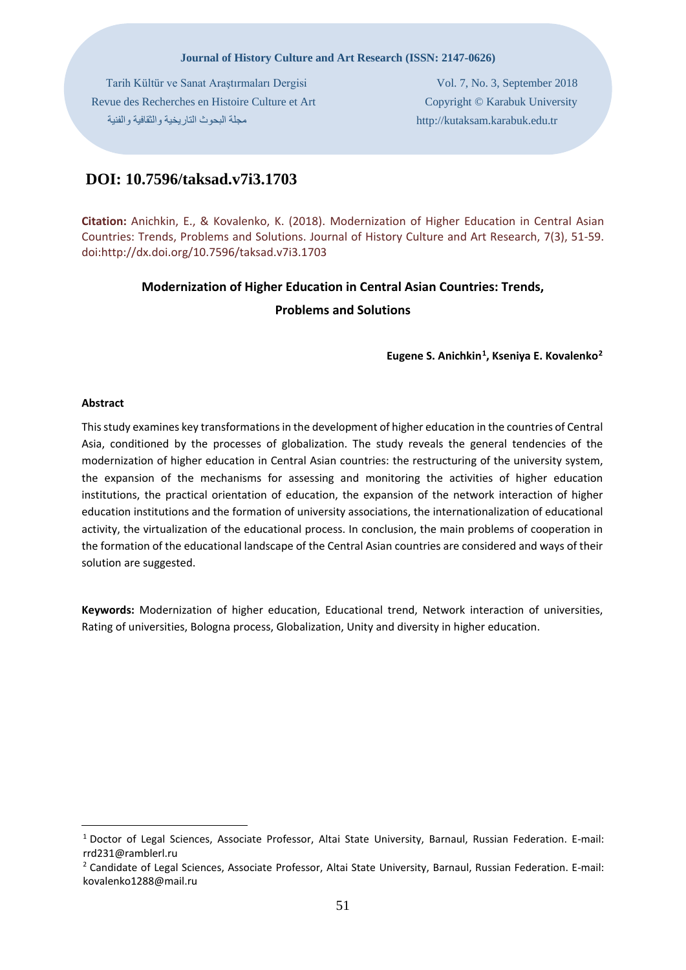#### **Journal of History Culture and Art Research (ISSN: 2147-0626)**

 Tarih Kültür ve Sanat Araştırmaları Dergisi Vol. 7, No. 3, September 2018 Revue des Recherches en Histoire Culture et Art Copyright © Karabuk University tr.edu.karabuk.kutaksam://http مجلة البحوث التاریخیة والثقافیة والفنیة

# **DOI: 10.7596/taksad.v7i3.1703**

**Citation:** Anichkin, E., & Kovalenko, K. (2018). Modernization of Higher Education in Central Asian Countries: Trends, Problems and Solutions. Journal of History Culture and Art Research, 7(3), 51-59. doi:http://dx.doi.org/10.7596/taksad.v7i3.1703

## **Modernization of Higher Education in Central Asian Countries: Trends,**

## **Problems and Solutions**

**Eugene S. Anichkin[1](#page-0-0), Kseniya E. Kovalenko[2](#page-0-1)**

### **Abstract**

<u>.</u>

This study examines key transformations in the development of higher education in the countries of Central Asia, conditioned by the processes of globalization. The study reveals the general tendencies of the modernization of higher education in Central Asian countries: the restructuring of the university system, the expansion of the mechanisms for assessing and monitoring the activities of higher education institutions, the practical orientation of education, the expansion of the network interaction of higher education institutions and the formation of university associations, the internationalization of educational activity, the virtualization of the educational process. In conclusion, the main problems of cooperation in the formation of the educational landscape of the Central Asian countries are considered and ways of their solution are suggested.

**Keywords:** Modernization of higher education, Educational trend, Network interaction of universities, Rating of universities, Bologna process, Globalization, Unity and diversity in higher education.

<span id="page-0-0"></span><sup>1</sup> Doctor of Legal Sciences, Associate Professor, Altai State University, Barnaul, Russian Federation. E-mail: rrd231@ramblerl.ru

<span id="page-0-1"></span><sup>2</sup> Candidate of Legal Sciences, Associate Professor, Altai State University, Barnaul, Russian Federation. E-mail: kovalenko1288@mail.ru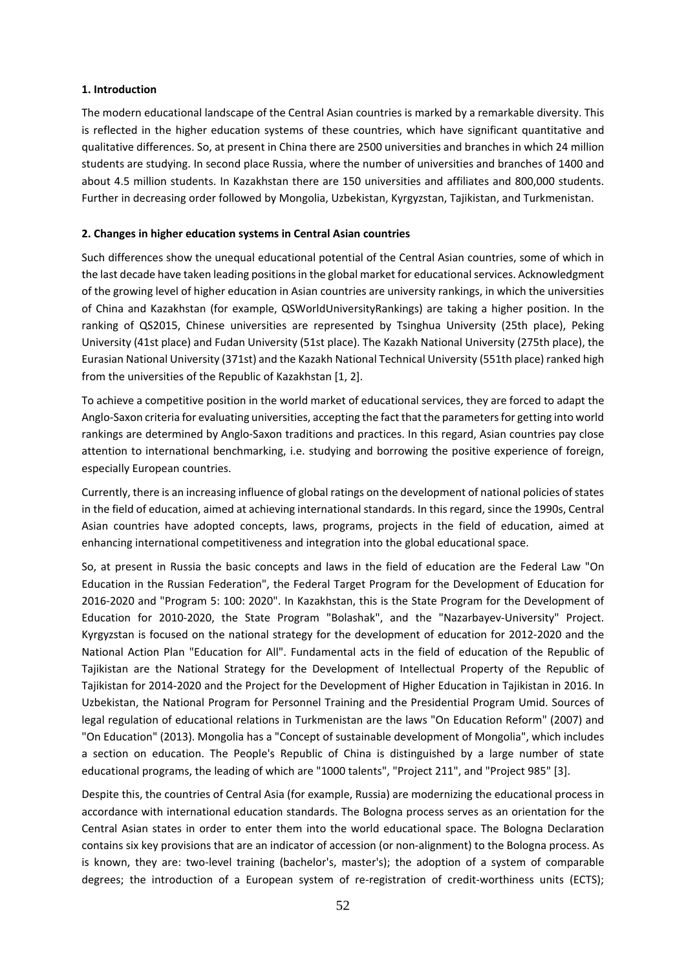## **1. Introduction**

The modern educational landscape of the Central Asian countries is marked by a remarkable diversity. This is reflected in the higher education systems of these countries, which have significant quantitative and qualitative differences. So, at present in China there are 2500 universities and branches in which 24 million students are studying. In second place Russia, where the number of universities and branches of 1400 and about 4.5 million students. In Kazakhstan there are 150 universities and affiliates and 800,000 students. Further in decreasing order followed by Mongolia, Uzbekistan, Kyrgyzstan, Tajikistan, and Turkmenistan.

## **2. Changes in higher education systems in Central Asian countries**

Such differences show the unequal educational potential of the Central Asian countries, some of which in the last decade have taken leading positions in the global market for educational services. Acknowledgment of the growing level of higher education in Asian countries are university rankings, in which the universities of China and Kazakhstan (for example, QSWorldUniversityRankings) are taking a higher position. In the ranking of QS2015, Chinese universities are represented by Tsinghua University (25th place), Peking University (41st place) and Fudan University (51st place). The Kazakh National University (275th place), the Eurasian National University (371st) and the Kazakh National Technical University (551th place) ranked high from the universities of the Republic of Kazakhstan [1, 2].

To achieve a competitive position in the world market of educational services, they are forced to adapt the Anglo-Saxon criteria for evaluating universities, accepting the fact that the parameters for getting into world rankings are determined by Anglo-Saxon traditions and practices. In this regard, Asian countries pay close attention to international benchmarking, i.e. studying and borrowing the positive experience of foreign, especially European countries.

Currently, there is an increasing influence of global ratings on the development of national policies of states in the field of education, aimed at achieving international standards. In this regard, since the 1990s, Central Asian countries have adopted concepts, laws, programs, projects in the field of education, aimed at enhancing international competitiveness and integration into the global educational space.

So, at present in Russia the basic concepts and laws in the field of education are the Federal Law "On Education in the Russian Federation", the Federal Target Program for the Development of Education for 2016-2020 and "Program 5: 100: 2020". In Kazakhstan, this is the State Program for the Development of Education for 2010-2020, the State Program "Bolashak", and the "Nazarbayev-University" Project. Kyrgyzstan is focused on the national strategy for the development of education for 2012-2020 and the National Action Plan "Education for All". Fundamental acts in the field of education of the Republic of Tajikistan are the National Strategy for the Development of Intellectual Property of the Republic of Tajikistan for 2014-2020 and the Project for the Development of Higher Education in Tajikistan in 2016. In Uzbekistan, the National Program for Personnel Training and the Presidential Program Umid. Sources of legal regulation of educational relations in Turkmenistan are the laws "On Education Reform" (2007) and "On Education" (2013). Mongolia has a "Concept of sustainable development of Mongolia", which includes a section on education. The People's Republic of China is distinguished by a large number of state educational programs, the leading of which are "1000 talents", "Project 211", and "Project 985" [3].

Despite this, the countries of Central Asia (for example, Russia) are modernizing the educational process in accordance with international education standards. The Bologna process serves as an orientation for the Central Asian states in order to enter them into the world educational space. The Bologna Declaration contains six key provisions that are an indicator of accession (or non-alignment) to the Bologna process. As is known, they are: two-level training (bachelor's, master's); the adoption of a system of comparable degrees; the introduction of a European system of re-registration of credit-worthiness units (ECTS);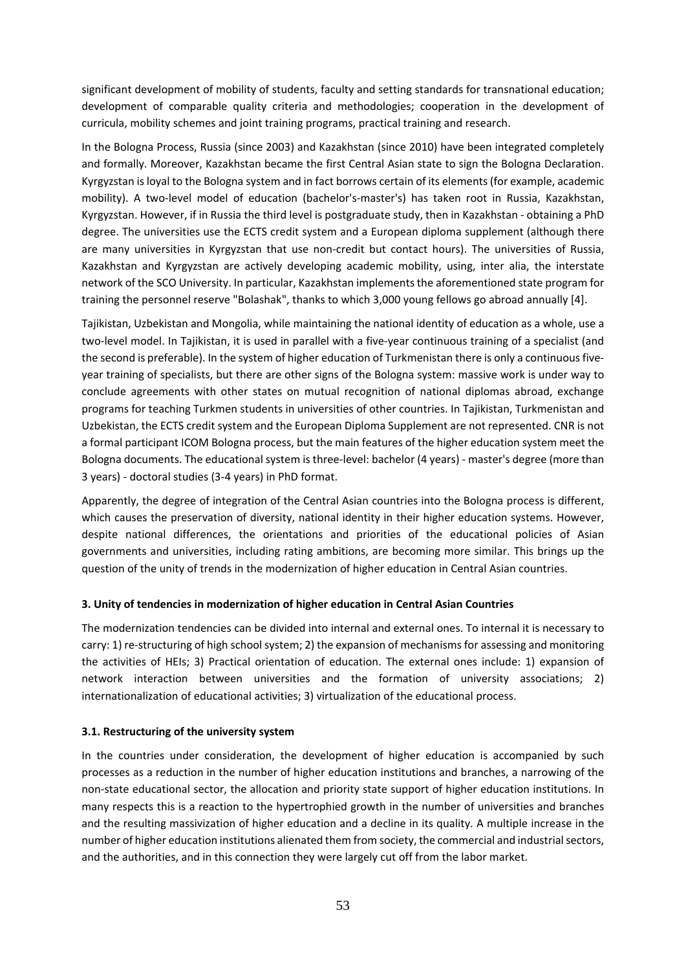significant development of mobility of students, faculty and setting standards for transnational education; development of comparable quality criteria and methodologies; cooperation in the development of curricula, mobility schemes and joint training programs, practical training and research.

In the Bologna Process, Russia (since 2003) and Kazakhstan (since 2010) have been integrated completely and formally. Moreover, Kazakhstan became the first Central Asian state to sign the Bologna Declaration. Kyrgyzstan is loyal to the Bologna system and in fact borrows certain of its elements (for example, academic mobility). A two-level model of education (bachelor's-master's) has taken root in Russia, Kazakhstan, Kyrgyzstan. However, if in Russia the third level is postgraduate study, then in Kazakhstan - obtaining a PhD degree. The universities use the ECTS credit system and a European diploma supplement (although there are many universities in Kyrgyzstan that use non-credit but contact hours). The universities of Russia, Kazakhstan and Kyrgyzstan are actively developing academic mobility, using, inter alia, the interstate network of the SCO University. In particular, Kazakhstan implements the aforementioned state program for training the personnel reserve "Bolashak", thanks to which 3,000 young fellows go abroad annually [4].

Tajikistan, Uzbekistan and Mongolia, while maintaining the national identity of education as a whole, use a two-level model. In Tajikistan, it is used in parallel with a five-year continuous training of a specialist (and the second is preferable). In the system of higher education of Turkmenistan there is only a continuous fiveyear training of specialists, but there are other signs of the Bologna system: massive work is under way to conclude agreements with other states on mutual recognition of national diplomas abroad, exchange programs for teaching Turkmen students in universities of other countries. In Tajikistan, Turkmenistan and Uzbekistan, the ECTS credit system and the European Diploma Supplement are not represented. CNR is not a formal participant ICOM Bologna process, but the main features of the higher education system meet the Bologna documents. The educational system is three-level: bachelor (4 years) - master's degree (more than 3 years) - doctoral studies (3-4 years) in PhD format.

Apparently, the degree of integration of the Central Asian countries into the Bologna process is different, which causes the preservation of diversity, national identity in their higher education systems. However, despite national differences, the orientations and priorities of the educational policies of Asian governments and universities, including rating ambitions, are becoming more similar. This brings up the question of the unity of trends in the modernization of higher education in Central Asian countries.

## **3. Unity of tendencies in modernization of higher education in Central Asian Countries**

The modernization tendencies can be divided into internal and external ones. To internal it is necessary to carry: 1) re-structuring of high school system; 2) the expansion of mechanisms for assessing and monitoring the activities of HEIs; 3) Practical orientation of education. The external ones include: 1) expansion of network interaction between universities and the formation of university associations; 2) internationalization of educational activities; 3) virtualization of the educational process.

## **3.1. Restructuring of the university system**

In the countries under consideration, the development of higher education is accompanied by such processes as a reduction in the number of higher education institutions and branches, a narrowing of the non-state educational sector, the allocation and priority state support of higher education institutions. In many respects this is a reaction to the hypertrophied growth in the number of universities and branches and the resulting massivization of higher education and a decline in its quality. A multiple increase in the number of higher education institutions alienated them from society, the commercial and industrial sectors, and the authorities, and in this connection they were largely cut off from the labor market.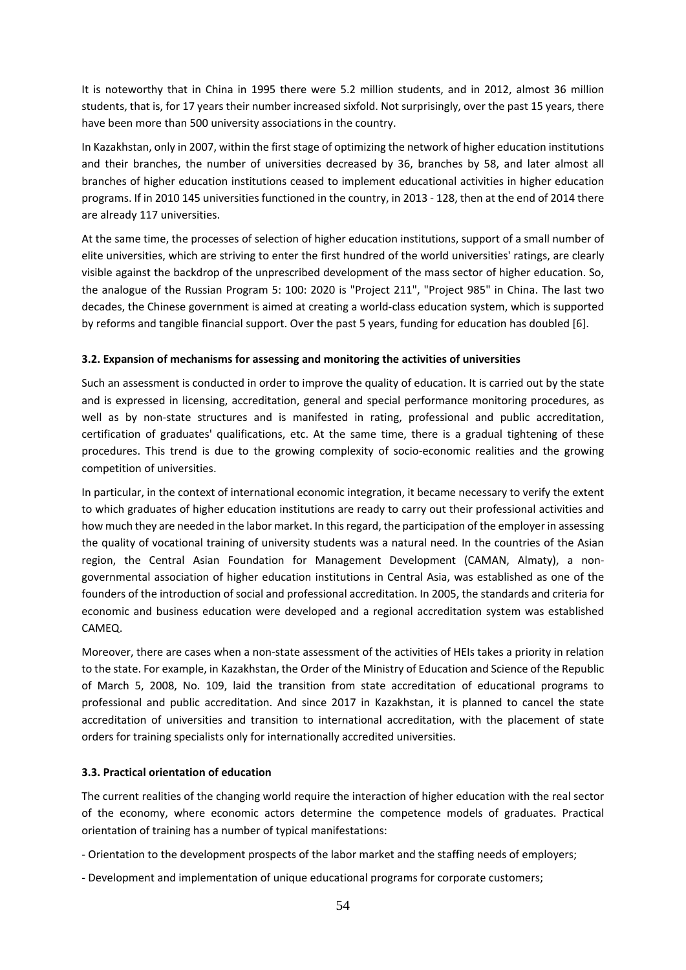It is noteworthy that in China in 1995 there were 5.2 million students, and in 2012, almost 36 million students, that is, for 17 years their number increased sixfold. Not surprisingly, over the past 15 years, there have been more than 500 university associations in the country.

In Kazakhstan, only in 2007, within the first stage of optimizing the network of higher education institutions and their branches, the number of universities decreased by 36, branches by 58, and later almost all branches of higher education institutions ceased to implement educational activities in higher education programs. If in 2010 145 universities functioned in the country, in 2013 - 128, then at the end of 2014 there are already 117 universities.

At the same time, the processes of selection of higher education institutions, support of a small number of elite universities, which are striving to enter the first hundred of the world universities' ratings, are clearly visible against the backdrop of the unprescribed development of the mass sector of higher education. So, the analogue of the Russian Program 5: 100: 2020 is "Project 211", "Project 985" in China. The last two decades, the Chinese government is aimed at creating a world-class education system, which is supported by reforms and tangible financial support. Over the past 5 years, funding for education has doubled [6].

## **3.2. Expansion of mechanisms for assessing and monitoring the activities of universities**

Such an assessment is conducted in order to improve the quality of education. It is carried out by the state and is expressed in licensing, accreditation, general and special performance monitoring procedures, as well as by non-state structures and is manifested in rating, professional and public accreditation, certification of graduates' qualifications, etc. At the same time, there is a gradual tightening of these procedures. This trend is due to the growing complexity of socio-economic realities and the growing competition of universities.

In particular, in the context of international economic integration, it became necessary to verify the extent to which graduates of higher education institutions are ready to carry out their professional activities and how much they are needed in the labor market. In this regard, the participation of the employer in assessing the quality of vocational training of university students was a natural need. In the countries of the Asian region, the Central Asian Foundation for Management Development (CAMAN, Almaty), a nongovernmental association of higher education institutions in Central Asia, was established as one of the founders of the introduction of social and professional accreditation. In 2005, the standards and criteria for economic and business education were developed and a regional accreditation system was established CAMEQ.

Moreover, there are cases when a non-state assessment of the activities of HEIs takes a priority in relation to the state. For example, in Kazakhstan, the Order of the Ministry of Education and Science of the Republic of March 5, 2008, No. 109, laid the transition from state accreditation of educational programs to professional and public accreditation. And since 2017 in Kazakhstan, it is planned to cancel the state accreditation of universities and transition to international accreditation, with the placement of state orders for training specialists only for internationally accredited universities.

## **3.3. Practical orientation of education**

The current realities of the changing world require the interaction of higher education with the real sector of the economy, where economic actors determine the competence models of graduates. Practical orientation of training has a number of typical manifestations:

- Orientation to the development prospects of the labor market and the staffing needs of employers;
- Development and implementation of unique educational programs for corporate customers;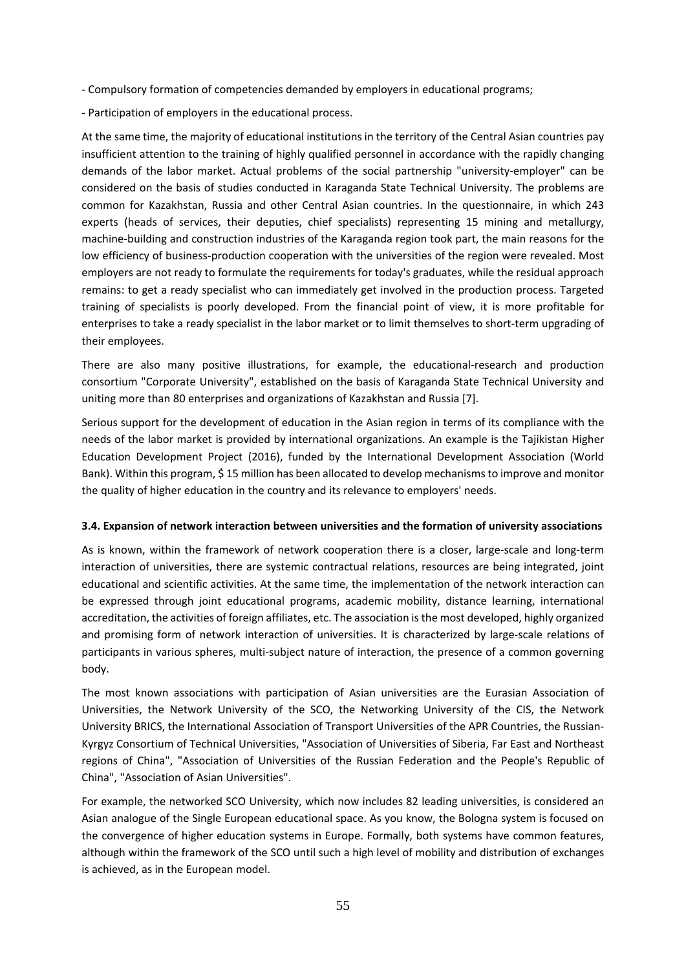- Compulsory formation of competencies demanded by employers in educational programs;
- Participation of employers in the educational process.

At the same time, the majority of educational institutions in the territory of the Central Asian countries pay insufficient attention to the training of highly qualified personnel in accordance with the rapidly changing demands of the labor market. Actual problems of the social partnership "university-employer" can be considered on the basis of studies conducted in Karaganda State Technical University. The problems are common for Kazakhstan, Russia and other Central Asian countries. In the questionnaire, in which 243 experts (heads of services, their deputies, chief specialists) representing 15 mining and metallurgy, machine-building and construction industries of the Karaganda region took part, the main reasons for the low efficiency of business-production cooperation with the universities of the region were revealed. Most employers are not ready to formulate the requirements for today's graduates, while the residual approach remains: to get a ready specialist who can immediately get involved in the production process. Targeted training of specialists is poorly developed. From the financial point of view, it is more profitable for enterprises to take a ready specialist in the labor market or to limit themselves to short-term upgrading of their employees.

There are also many positive illustrations, for example, the educational-research and production consortium "Corporate University", established on the basis of Karaganda State Technical University and uniting more than 80 enterprises and organizations of Kazakhstan and Russia [7].

Serious support for the development of education in the Asian region in terms of its compliance with the needs of the labor market is provided by international organizations. An example is the Tajikistan Higher Education Development Project (2016), funded by the International Development Association (World Bank). Within this program, \$ 15 million has been allocated to develop mechanisms to improve and monitor the quality of higher education in the country and its relevance to employers' needs.

## **3.4. Expansion of network interaction between universities and the formation of university associations**

As is known, within the framework of network cooperation there is a closer, large-scale and long-term interaction of universities, there are systemic contractual relations, resources are being integrated, joint educational and scientific activities. At the same time, the implementation of the network interaction can be expressed through joint educational programs, academic mobility, distance learning, international accreditation, the activities of foreign affiliates, etc. The association is the most developed, highly organized and promising form of network interaction of universities. It is characterized by large-scale relations of participants in various spheres, multi-subject nature of interaction, the presence of a common governing body.

The most known associations with participation of Asian universities are the Eurasian Association of Universities, the Network University of the SCO, the Networking University of the CIS, the Network University BRICS, the International Association of Transport Universities of the APR Countries, the Russian-Kyrgyz Consortium of Technical Universities, "Association of Universities of Siberia, Far East and Northeast regions of China", "Association of Universities of the Russian Federation and the People's Republic of China", "Association of Asian Universities".

For example, the networked SCO University, which now includes 82 leading universities, is considered an Asian analogue of the Single European educational space. As you know, the Bologna system is focused on the convergence of higher education systems in Europe. Formally, both systems have common features, although within the framework of the SCO until such a high level of mobility and distribution of exchanges is achieved, as in the European model.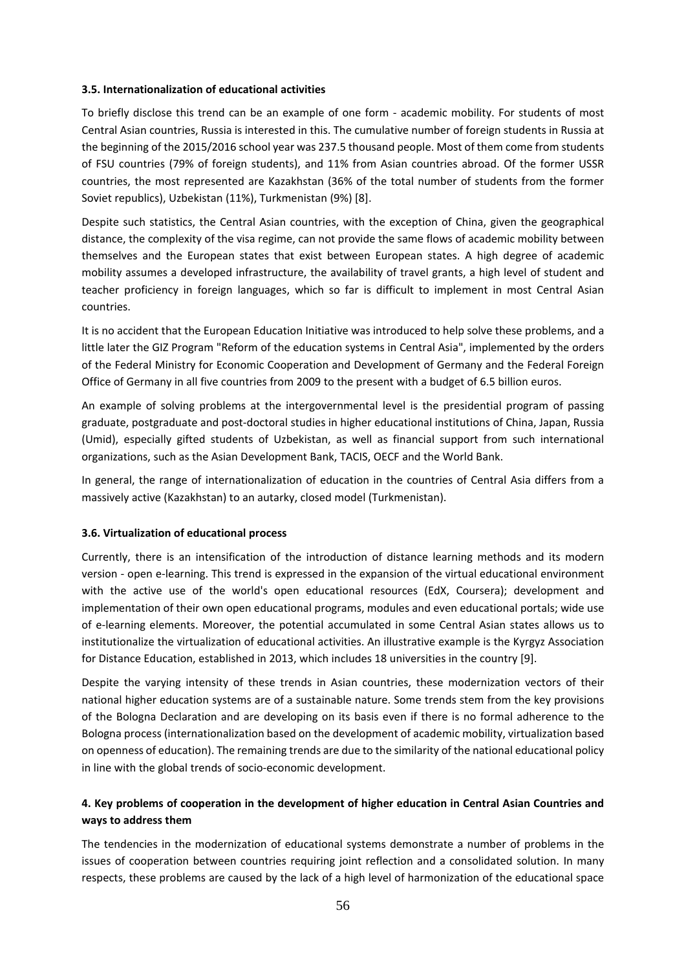#### **3.5. Internationalization of educational activities**

To briefly disclose this trend can be an example of one form - academic mobility. For students of most Central Asian countries, Russia is interested in this. The cumulative number of foreign students in Russia at the beginning of the 2015/2016 school year was 237.5 thousand people. Most of them come from students of FSU countries (79% of foreign students), and 11% from Asian countries abroad. Of the former USSR countries, the most represented are Kazakhstan (36% of the total number of students from the former Soviet republics), Uzbekistan (11%), Turkmenistan (9%) [8].

Despite such statistics, the Central Asian countries, with the exception of China, given the geographical distance, the complexity of the visa regime, can not provide the same flows of academic mobility between themselves and the European states that exist between European states. A high degree of academic mobility assumes a developed infrastructure, the availability of travel grants, a high level of student and teacher proficiency in foreign languages, which so far is difficult to implement in most Central Asian countries.

It is no accident that the European Education Initiative was introduced to help solve these problems, and a little later the GIZ Program "Reform of the education systems in Central Asia", implemented by the orders of the Federal Ministry for Economic Cooperation and Development of Germany and the Federal Foreign Office of Germany in all five countries from 2009 to the present with a budget of 6.5 billion euros.

An example of solving problems at the intergovernmental level is the presidential program of passing graduate, postgraduate and post-doctoral studies in higher educational institutions of China, Japan, Russia (Umid), especially gifted students of Uzbekistan, as well as financial support from such international organizations, such as the Asian Development Bank, TACIS, OECF and the World Bank.

In general, the range of internationalization of education in the countries of Central Asia differs from a massively active (Kazakhstan) to an autarky, closed model (Turkmenistan).

## **3.6. Virtualization of educational process**

Currently, there is an intensification of the introduction of distance learning methods and its modern version - open e-learning. This trend is expressed in the expansion of the virtual educational environment with the active use of the world's open educational resources (EdX, Coursera); development and implementation of their own open educational programs, modules and even educational portals; wide use of e-learning elements. Moreover, the potential accumulated in some Central Asian states allows us to institutionalize the virtualization of educational activities. An illustrative example is the Kyrgyz Association for Distance Education, established in 2013, which includes 18 universities in the country [9].

Despite the varying intensity of these trends in Asian countries, these modernization vectors of their national higher education systems are of a sustainable nature. Some trends stem from the key provisions of the Bologna Declaration and are developing on its basis even if there is no formal adherence to the Bologna process (internationalization based on the development of academic mobility, virtualization based on openness of education). The remaining trends are due to the similarity of the national educational policy in line with the global trends of socio-economic development.

## **4. Key problems of cooperation in the development of higher education in Central Asian Countries and ways to address them**

The tendencies in the modernization of educational systems demonstrate a number of problems in the issues of cooperation between countries requiring joint reflection and a consolidated solution. In many respects, these problems are caused by the lack of a high level of harmonization of the educational space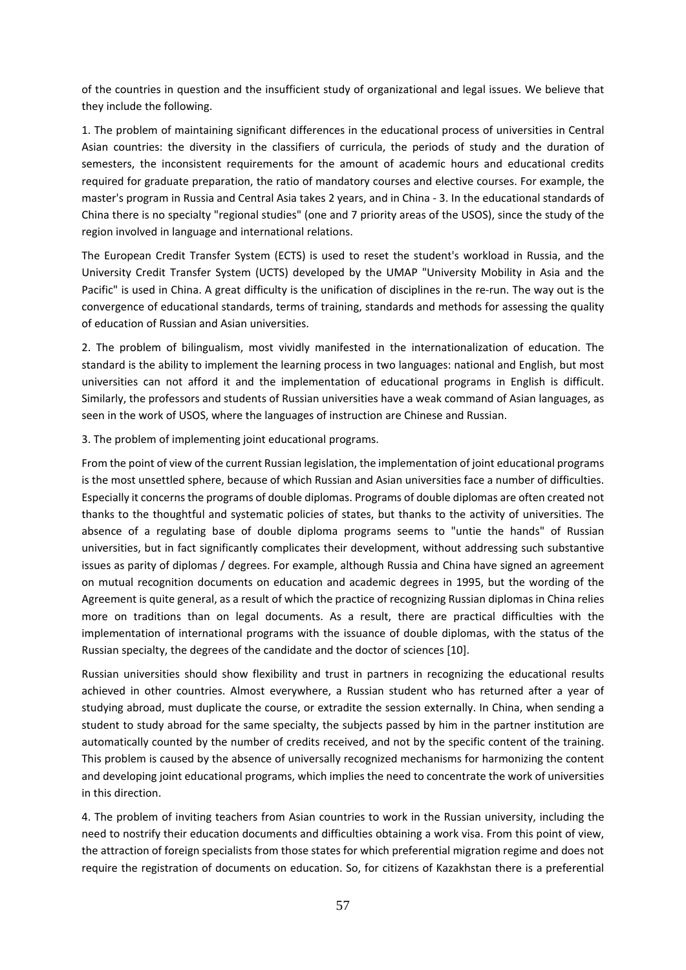of the countries in question and the insufficient study of organizational and legal issues. We believe that they include the following.

1. The problem of maintaining significant differences in the educational process of universities in Central Asian countries: the diversity in the classifiers of curricula, the periods of study and the duration of semesters, the inconsistent requirements for the amount of academic hours and educational credits required for graduate preparation, the ratio of mandatory courses and elective courses. For example, the master's program in Russia and Central Asia takes 2 years, and in China - 3. In the educational standards of China there is no specialty "regional studies" (one and 7 priority areas of the USOS), since the study of the region involved in language and international relations.

The European Credit Transfer System (ECTS) is used to reset the student's workload in Russia, and the University Credit Transfer System (UCTS) developed by the UMAP "University Mobility in Asia and the Pacific" is used in China. A great difficulty is the unification of disciplines in the re-run. The way out is the convergence of educational standards, terms of training, standards and methods for assessing the quality of education of Russian and Asian universities.

2. The problem of bilingualism, most vividly manifested in the internationalization of education. The standard is the ability to implement the learning process in two languages: national and English, but most universities can not afford it and the implementation of educational programs in English is difficult. Similarly, the professors and students of Russian universities have a weak command of Asian languages, as seen in the work of USOS, where the languages of instruction are Chinese and Russian.

3. The problem of implementing joint educational programs.

From the point of view of the current Russian legislation, the implementation of joint educational programs is the most unsettled sphere, because of which Russian and Asian universities face a number of difficulties. Especially it concerns the programs of double diplomas. Programs of double diplomas are often created not thanks to the thoughtful and systematic policies of states, but thanks to the activity of universities. The absence of a regulating base of double diploma programs seems to "untie the hands" of Russian universities, but in fact significantly complicates their development, without addressing such substantive issues as parity of diplomas / degrees. For example, although Russia and China have signed an agreement on mutual recognition documents on education and academic degrees in 1995, but the wording of the Agreement is quite general, as a result of which the practice of recognizing Russian diplomas in China relies more on traditions than on legal documents. As a result, there are practical difficulties with the implementation of international programs with the issuance of double diplomas, with the status of the Russian specialty, the degrees of the candidate and the doctor of sciences [10].

Russian universities should show flexibility and trust in partners in recognizing the educational results achieved in other countries. Almost everywhere, a Russian student who has returned after a year of studying abroad, must duplicate the course, or extradite the session externally. In China, when sending a student to study abroad for the same specialty, the subjects passed by him in the partner institution are automatically counted by the number of credits received, and not by the specific content of the training. This problem is caused by the absence of universally recognized mechanisms for harmonizing the content and developing joint educational programs, which implies the need to concentrate the work of universities in this direction.

4. The problem of inviting teachers from Asian countries to work in the Russian university, including the need to nostrify their education documents and difficulties obtaining a work visa. From this point of view, the attraction of foreign specialists from those states for which preferential migration regime and does not require the registration of documents on education. So, for citizens of Kazakhstan there is a preferential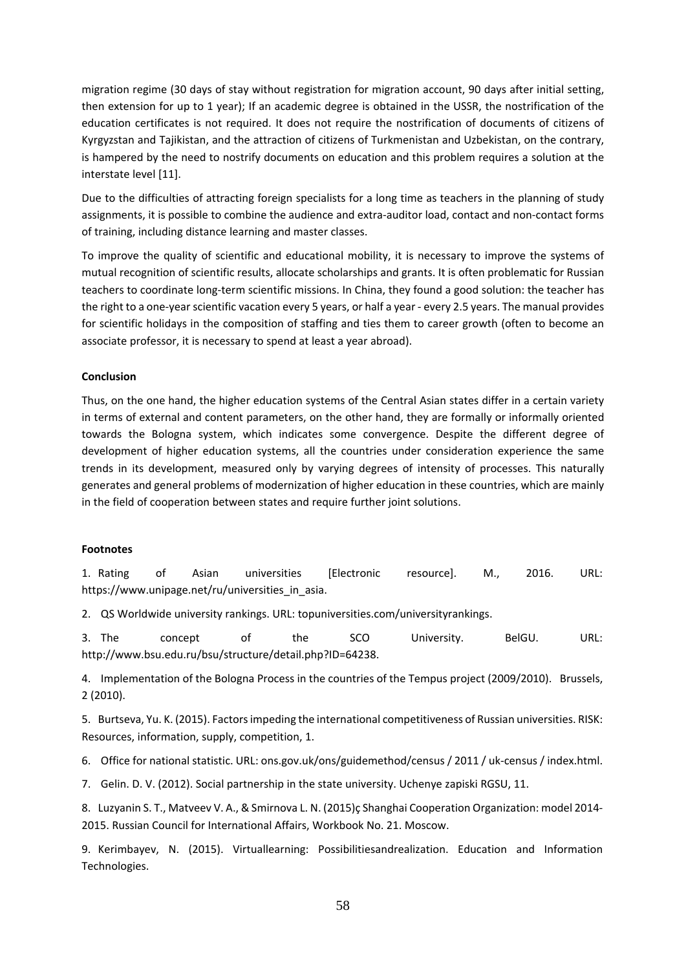migration regime (30 days of stay without registration for migration account, 90 days after initial setting, then extension for up to 1 year); If an academic degree is obtained in the USSR, the nostrification of the education certificates is not required. It does not require the nostrification of documents of citizens of Kyrgyzstan and Tajikistan, and the attraction of citizens of Turkmenistan and Uzbekistan, on the contrary, is hampered by the need to nostrify documents on education and this problem requires a solution at the interstate level [11].

Due to the difficulties of attracting foreign specialists for a long time as teachers in the planning of study assignments, it is possible to combine the audience and extra-auditor load, contact and non-contact forms of training, including distance learning and master classes.

To improve the quality of scientific and educational mobility, it is necessary to improve the systems of mutual recognition of scientific results, allocate scholarships and grants. It is often problematic for Russian teachers to coordinate long-term scientific missions. In China, they found a good solution: the teacher has the right to a one-year scientific vacation every 5 years, or half a year - every 2.5 years. The manual provides for scientific holidays in the composition of staffing and ties them to career growth (often to become an associate professor, it is necessary to spend at least a year abroad).

## **Conclusion**

Thus, on the one hand, the higher education systems of the Central Asian states differ in a certain variety in terms of external and content parameters, on the other hand, they are formally or informally oriented towards the Bologna system, which indicates some convergence. Despite the different degree of development of higher education systems, all the countries under consideration experience the same trends in its development, measured only by varying degrees of intensity of processes. This naturally generates and general problems of modernization of higher education in these countries, which are mainly in the field of cooperation between states and require further joint solutions.

## **Footnotes**

1. Rating of Asian universities [Electronic resource]. М., 2016. URL: https://www.unipage.net/ru/universities\_in\_asia.

2. QS Worldwide university rankings. URL: topuniversities.com/universityrankings.

3. The concept of the SCO University. BelGU. URL: http://www.bsu.edu.ru/bsu/structure/detail.php?ID=64238.

4. Implementation of the Bologna Process in the countries of the Tempus project (2009/2010). Brussels, 2 (2010).

5. Burtseva, Yu. K. (2015). Factors impeding the international competitiveness of Russian universities. RISK: Resources, information, supply, competition, 1.

6. Office for national statistic. URL: ons.gov.uk/ons/guidemethod/census / 2011 / uk-census / index.html.

7. Gelin. D. V. (2012). Social partnership in the state university. Uchenye zapiski RGSU, 11.

8. Luzyanin S. T., Matveev V. A., & Smirnova L. N. (2015)ç Shanghai Cooperation Organization: model 2014- 2015. Russian Council for International Affairs, Workbook No. 21. Moscow.

9. Kerimbayev, N. (2015). Virtuallearning: Possibilitiesandrealization. Education and Information Technologies.